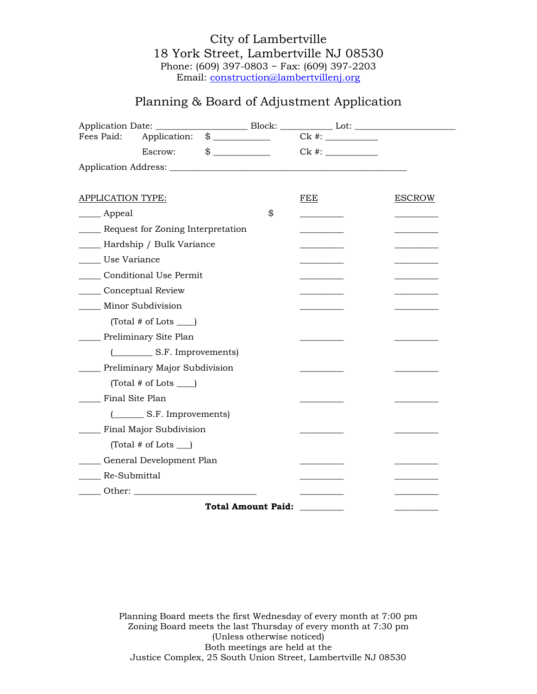## Planning & Board of Adjustment Application

| Fees Paid:                        | Application:                         | $\qquad \qquad \$$                         |                           |     |               |
|-----------------------------------|--------------------------------------|--------------------------------------------|---------------------------|-----|---------------|
|                                   | Escrow:                              | $\qquad \qquad \, \text{\$} \qquad \qquad$ |                           |     |               |
|                                   |                                      |                                            |                           |     |               |
|                                   |                                      |                                            |                           |     |               |
| <b>APPLICATION TYPE:</b>          |                                      |                                            |                           | FEE | <b>ESCROW</b> |
| __ Appeal                         |                                      |                                            | \$                        |     |               |
| Request for Zoning Interpretation |                                      |                                            |                           |     |               |
| __ Hardship / Bulk Variance       |                                      |                                            |                           |     |               |
| Use Variance                      |                                      |                                            |                           |     |               |
| <b>Conditional Use Permit</b>     |                                      |                                            |                           |     |               |
| Conceptual Review                 |                                      |                                            |                           |     |               |
|                                   | Minor Subdivision                    |                                            |                           |     |               |
|                                   | $(Total \# of Lots$ <sub>___</sub>   |                                            |                           |     |               |
|                                   | Preliminary Site Plan                |                                            |                           |     |               |
|                                   | (Compact S.F. Improvements)          |                                            |                           |     |               |
| Preliminary Major Subdivision     |                                      |                                            |                           |     |               |
|                                   | $(Total \# of Lots$                  |                                            |                           |     |               |
| Final Site Plan                   |                                      |                                            |                           |     |               |
|                                   | (S.F. Improvements)                  |                                            |                           |     |               |
|                                   | <b>Final Major Subdivision</b>       |                                            |                           |     |               |
|                                   | $(Total \# of Lots$ <sub>___</sub> ) |                                            |                           |     |               |
|                                   | General Development Plan             |                                            |                           |     |               |
| Re-Submittal                      |                                      |                                            |                           |     |               |
|                                   | Other:                               |                                            |                           |     |               |
|                                   |                                      |                                            | <b>Total Amount Paid:</b> |     |               |

Planning Board meets the first Wednesday of every month at 7:00 pm Zoning Board meets the last Thursday of every month at 7:30 pm (Unless otherwise noticed) Both meetings are held at the Justice Complex, 25 South Union Street, Lambertville NJ 08530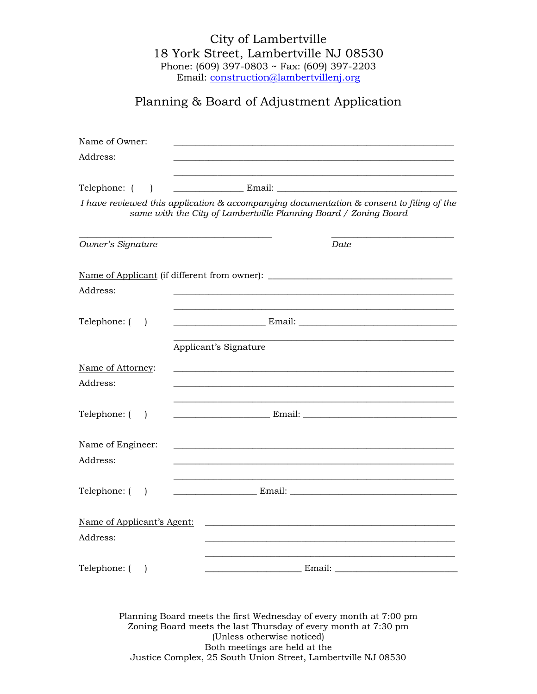# Planning & Board of Adjustment Application

| Name of Owner:                 |                                                                                                                                                                                                                                      |  |  |  |  |  |
|--------------------------------|--------------------------------------------------------------------------------------------------------------------------------------------------------------------------------------------------------------------------------------|--|--|--|--|--|
| Address:                       |                                                                                                                                                                                                                                      |  |  |  |  |  |
| Telephone: (                   | <u>Email:</u> Email: Email: Email: Email: Email: Email: Email: Email: Email: Email: Email: Email: Email: Email: Email: Email: Email: Email: Email: Email: Email: Email: Email: Email: Email: Email: Email: Email: Email: Email: Ema  |  |  |  |  |  |
|                                | I have reviewed this application & accompanying documentation & consent to filing of the<br>same with the City of Lambertville Planning Board / Zoning Board                                                                         |  |  |  |  |  |
| Owner's Signature              | Date                                                                                                                                                                                                                                 |  |  |  |  |  |
|                                | Name of Applicant (if different from owner): ___________________________________                                                                                                                                                     |  |  |  |  |  |
| Address:                       |                                                                                                                                                                                                                                      |  |  |  |  |  |
| Telephone: (<br>$\Box$         |                                                                                                                                                                                                                                      |  |  |  |  |  |
|                                | Applicant's Signature                                                                                                                                                                                                                |  |  |  |  |  |
| Name of Attorney:<br>Address:  |                                                                                                                                                                                                                                      |  |  |  |  |  |
| Telephone: (<br>$\overline{ }$ | <u>Email: Email: Email: Email: Email: Email: Email: Email: Email: Email: Email: Email: Email: Email: Email: Email: Email: Email: Email: Email: Email: Email: Email: Email: Email: Email: Email: Email: Email: Email: Email: Emai</u> |  |  |  |  |  |
| Name of Engineer:<br>Address:  |                                                                                                                                                                                                                                      |  |  |  |  |  |
| Telephone: (<br>$\mathbf{I}$   |                                                                                                                                                                                                                                      |  |  |  |  |  |
| Name of Applicant's Agent:     |                                                                                                                                                                                                                                      |  |  |  |  |  |
| Address:                       |                                                                                                                                                                                                                                      |  |  |  |  |  |
| Telephone: ()                  | <u>Email:</u> Email: Email: Email: Email: Email: Email: Email: Email: Email: Email: Email: Email: Email: Email: Email: Email: Email: Email: Email: Email: Email: Email: Email: Email: Email: Email: Email: Email: Email: Email: Ema  |  |  |  |  |  |
|                                | Planning Board meets the first Wednesday of every month at 7:00 pm                                                                                                                                                                   |  |  |  |  |  |

Zoning Board meets the last Thursday of every month at 7:30 pm (Unless otherwise noticed) Both meetings are held at the Justice Complex, 25 South Union Street, Lambertville NJ 08530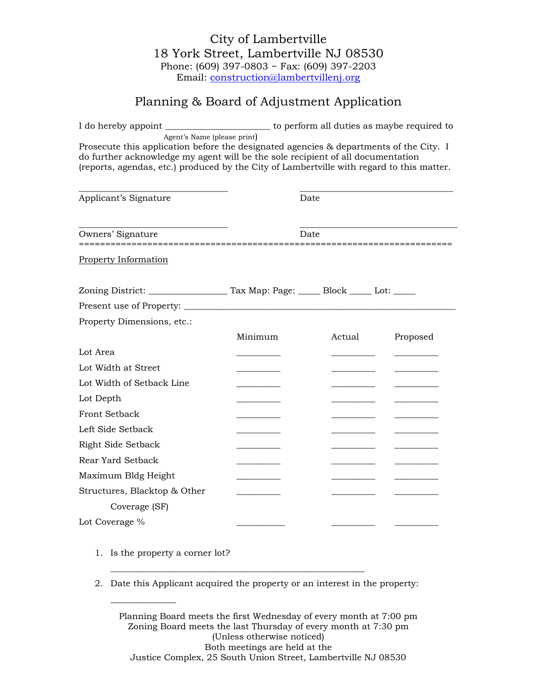# Planning & Board of Adjustment Application

|                                                                                                                                                                                                                                                                                                       | I do hereby appoint __________________________ to perform all duties as maybe required to |        |          |  |  |
|-------------------------------------------------------------------------------------------------------------------------------------------------------------------------------------------------------------------------------------------------------------------------------------------------------|-------------------------------------------------------------------------------------------|--------|----------|--|--|
| Agent's Name (please print)<br>Prosecute this application before the designated agencies & departments of the City. I<br>do further acknowledge my agent will be the sole recipient of all documentation<br>(reports, agendas, etc.) produced by the City of Lambertville with regard to this matter. |                                                                                           |        |          |  |  |
| Applicant's Signature                                                                                                                                                                                                                                                                                 |                                                                                           | Date   |          |  |  |
| Owners' Signature                                                                                                                                                                                                                                                                                     | Date                                                                                      |        |          |  |  |
| <b>Property Information</b>                                                                                                                                                                                                                                                                           |                                                                                           |        |          |  |  |
|                                                                                                                                                                                                                                                                                                       |                                                                                           |        |          |  |  |
|                                                                                                                                                                                                                                                                                                       |                                                                                           |        |          |  |  |
| Property Dimensions, etc.:                                                                                                                                                                                                                                                                            |                                                                                           |        |          |  |  |
|                                                                                                                                                                                                                                                                                                       | Minimum                                                                                   | Actual | Proposed |  |  |
| Lot Area                                                                                                                                                                                                                                                                                              |                                                                                           |        |          |  |  |
| Lot Width at Street                                                                                                                                                                                                                                                                                   |                                                                                           |        |          |  |  |
| Lot Width of Setback Line                                                                                                                                                                                                                                                                             |                                                                                           |        |          |  |  |
| Lot Depth                                                                                                                                                                                                                                                                                             | <u> La Carlo Carlo Carlo Ca</u>                                                           |        |          |  |  |
| <b>Front Setback</b>                                                                                                                                                                                                                                                                                  |                                                                                           |        |          |  |  |
| Left Side Setback                                                                                                                                                                                                                                                                                     |                                                                                           |        |          |  |  |
| Right Side Setback                                                                                                                                                                                                                                                                                    |                                                                                           |        |          |  |  |
| Rear Yard Setback                                                                                                                                                                                                                                                                                     |                                                                                           |        |          |  |  |
| Maximum Bldg Height                                                                                                                                                                                                                                                                                   |                                                                                           |        |          |  |  |
| Structures, Blacktop & Other                                                                                                                                                                                                                                                                          |                                                                                           |        |          |  |  |
| Coverage (SF)                                                                                                                                                                                                                                                                                         |                                                                                           |        |          |  |  |
| Lot Coverage %                                                                                                                                                                                                                                                                                        |                                                                                           |        |          |  |  |

1. Is the property a corner lot?

 $\overline{\phantom{a}}$  , where  $\overline{\phantom{a}}$ 

2. Date this Applicant acquired the property or an interest in the property:

\_\_\_\_\_\_\_\_\_\_\_\_\_\_\_\_\_\_\_\_\_\_\_\_\_\_\_\_\_\_\_\_\_\_\_\_\_\_\_\_\_\_\_\_\_\_\_\_\_\_\_\_\_\_\_\_\_\_

Planning Board meets the first Wednesday of every month at 7:00 pm Zoning Board meets the last Thursday of every month at 7:30 pm (Unless otherwise noticed) Both meetings are held at the Justice Complex, 25 South Union Street, Lambertville NJ 08530